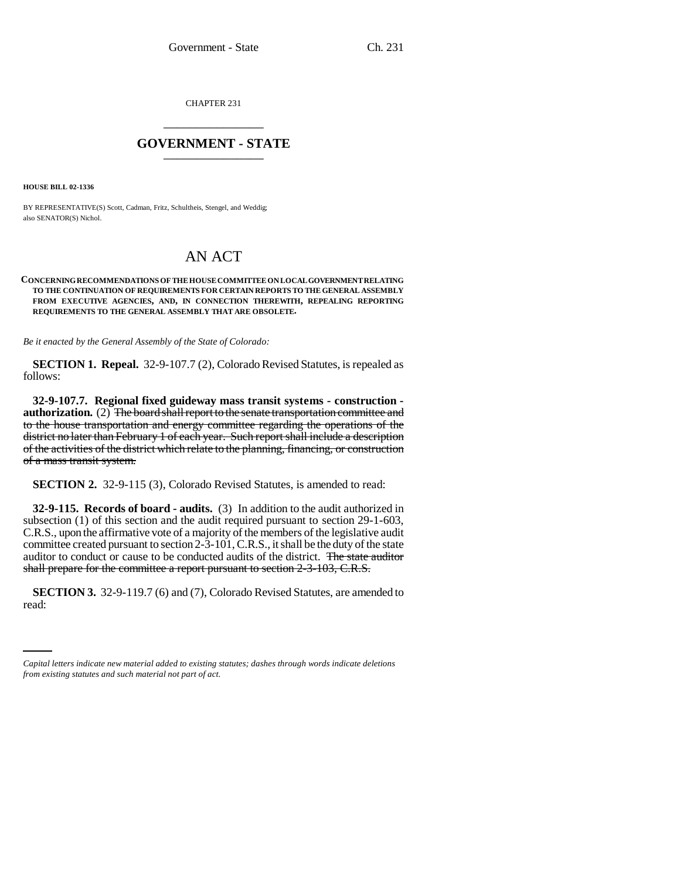CHAPTER 231 \_\_\_\_\_\_\_\_\_\_\_\_\_\_\_

## **GOVERNMENT - STATE** \_\_\_\_\_\_\_\_\_\_\_\_\_\_\_

**HOUSE BILL 02-1336**

BY REPRESENTATIVE(S) Scott, Cadman, Fritz, Schultheis, Stengel, and Weddig; also SENATOR(S) Nichol.

## AN ACT

## **CONCERNING RECOMMENDATIONS OF THE HOUSE COMMITTEE ON LOCAL GOVERNMENT RELATING TO THE CONTINUATION OF REQUIREMENTS FOR CERTAIN REPORTS TO THE GENERAL ASSEMBLY FROM EXECUTIVE AGENCIES, AND, IN CONNECTION THEREWITH, REPEALING REPORTING REQUIREMENTS TO THE GENERAL ASSEMBLY THAT ARE OBSOLETE.**

*Be it enacted by the General Assembly of the State of Colorado:*

**SECTION 1. Repeal.** 32-9-107.7 (2), Colorado Revised Statutes, is repealed as follows:

**32-9-107.7. Regional fixed guideway mass transit systems - construction authorization.** (2) The board shall report to the senate transportation committee and to the house transportation and energy committee regarding the operations of the district no later than February 1 of each year. Such report shall include a description of the activities of the district which relate to the planning, financing, or construction of a mass transit system.

**SECTION 2.** 32-9-115 (3), Colorado Revised Statutes, is amended to read:

**32-9-115. Records of board - audits.** (3) In addition to the audit authorized in subsection (1) of this section and the audit required pursuant to section 29-1-603, C.R.S., upon the affirmative vote of a majority of the members of the legislative audit committee created pursuant to section 2-3-101, C.R.S., it shall be the duty of the state auditor to conduct or cause to be conducted audits of the district. The state auditor shall prepare for the committee a report pursuant to section 2-3-103, C.R.S.

**SECTION 3.** 32-9-119.7 (6) and (7), Colorado Revised Statutes, are amended to read:

*Capital letters indicate new material added to existing statutes; dashes through words indicate deletions from existing statutes and such material not part of act.*